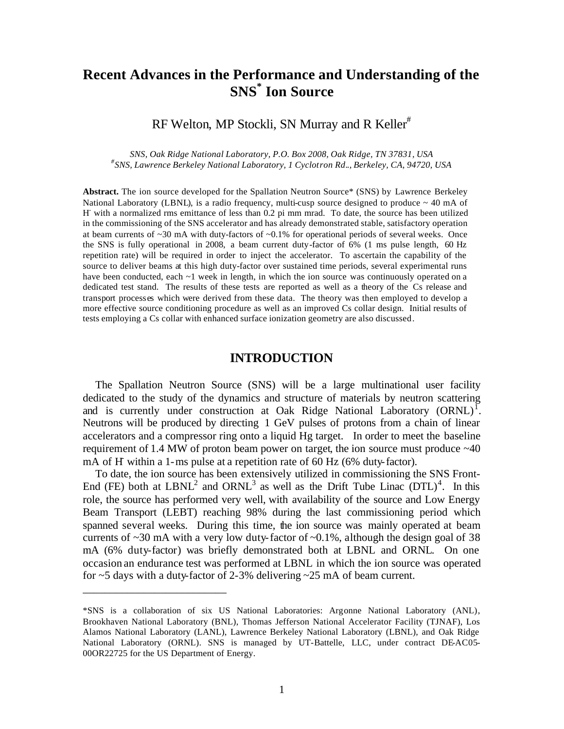# **Recent Advances in the Performance and Understanding of the SNS\* Ion Source**

RF Welton, MP Stockli, SN Murray and R Keller<sup>#</sup>

*SNS, Oak Ridge National Laboratory, P.O. Box 2008, Oak Ridge, TN 37831, USA # SNS, Lawrence Berkeley National Laboratory, 1 Cyclotron Rd.., Berkeley, CA, 94720, USA*

**Abstract.** The ion source developed for the Spallation Neutron Source\* (SNS) by Lawrence Berkeley National Laboratory (LBNL), is a radio frequency, multi-cusp source designed to produce  $\sim$  40 mA of H with a normalized rms emittance of less than 0.2 pi mm mrad. To date, the source has been utilized in the commissioning of the SNS accelerator and has already demonstrated stable, satisfactory operation at beam currents of  $\sim$ 30 mA with duty-factors of  $\sim$ 0.1% for operational periods of several weeks. Once the SNS is fully operational in 2008, a beam current duty-factor of 6% (1 ms pulse length, 60 Hz repetition rate) will be required in order to inject the accelerator. To ascertain the capability of the source to deliver beams at this high duty-factor over sustained time periods, several experimental runs have been conducted, each  $\sim$ 1 week in length, in which the ion source was continuously operated on a dedicated test stand. The results of these tests are reported as well as a theory of the Cs release and transport processes which were derived from these data. The theory was then employed to develop a more effective source conditioning procedure as well as an improved Cs collar design. Initial results of tests employing a Cs collar with enhanced surface ionization geometry are also discussed.

#### **INTRODUCTION**

The Spallation Neutron Source (SNS) will be a large multinational user facility dedicated to the study of the dynamics and structure of materials by neutron scattering and is currently under construction at Oak Ridge National Laboratory (ORNL)<sup>1</sup>. Neutrons will be produced by directing 1 GeV pulses of protons from a chain of linear accelerators and a compressor ring onto a liquid Hg target. In order to meet the baseline requirement of 1.4 MW of proton beam power on target, the ion source must produce ~40 mA of H within a 1-ms pulse at a repetition rate of 60 Hz (6% duty-factor).

To date, the ion source has been extensively utilized in commissioning the SNS Front-End (FE) both at  $LBNL<sup>2</sup>$  and  $ORNL<sup>3</sup>$  as well as the Drift Tube Linac  $(DTL)<sup>4</sup>$ . In this role, the source has performed very well, with availability of the source and Low Energy Beam Transport (LEBT) reaching 98% during the last commissioning period which spanned several weeks. During this time, the ion source was mainly operated at beam currents of  $\sim$ 30 mA with a very low duty-factor of  $\sim$ 0.1%, although the design goal of 38 mA (6% duty-factor) was briefly demonstrated both at LBNL and ORNL. On one occasion an endurance test was performed at LBNL in which the ion source was operated for ~5 days with a duty-factor of 2-3% delivering ~25 mA of beam current.

\_\_\_\_\_\_\_\_\_\_\_\_\_\_\_\_\_\_\_\_\_\_\_\_\_\_

<sup>\*</sup>SNS is a collaboration of six US National Laboratories: Argonne National Laboratory (ANL), Brookhaven National Laboratory (BNL), Thomas Jefferson National Accelerator Facility (TJNAF), Los Alamos National Laboratory (LANL), Lawrence Berkeley National Laboratory (LBNL), and Oak Ridge National Laboratory (ORNL). SNS is managed by UT-Battelle, LLC, under contract DE-AC05- 00OR22725 for the US Department of Energy.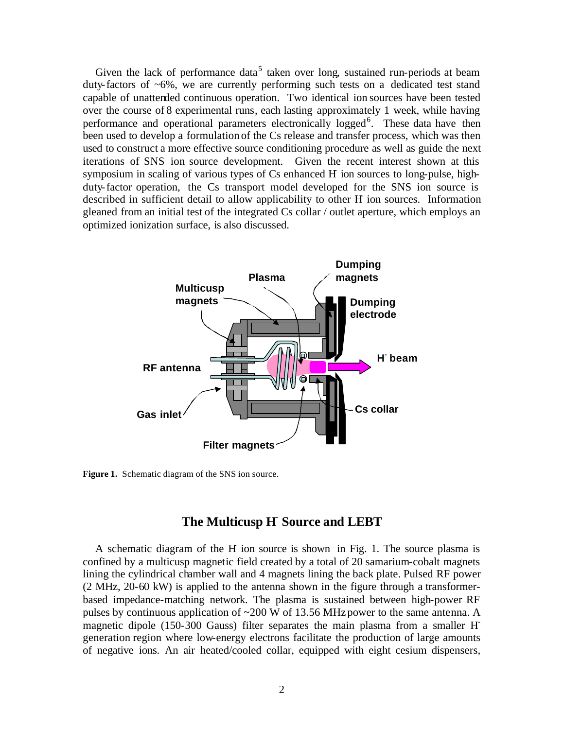Given the lack of performance data<sup>5</sup> taken over long, sustained run-periods at beam duty-factors of  $~6\%$ , we are currently performing such tests on a dedicated test stand capable of unattended continuous operation. Two identical ion sources have been tested over the course of 8 experimental runs, each lasting approximately 1 week, while having performance and operational parameters electronically logged<sup>6</sup>. These data have then been used to develop a formulation of the Cs release and transfer process, which was then used to construct a more effective source conditioning procedure as well as guide the next iterations of SNS ion source development. Given the recent interest shown at this symposium in scaling of various types of Cs enhanced H ion sources to long-pulse, highduty-factor operation, the Cs transport model developed for the SNS ion source is described in sufficient detail to allow applicability to other H- ion sources. Information gleaned from an initial test of the integrated Cs collar / outlet aperture, which employs an optimized ionization surface, is also discussed.



**Figure 1.** Schematic diagram of the SNS ion source.

## **The Multicusp H- Source and LEBT**

A schematic diagram of the H ion source is shown in Fig. 1. The source plasma is confined by a multicusp magnetic field created by a total of 20 samarium-cobalt magnets lining the cylindrical chamber wall and 4 magnets lining the back plate. Pulsed RF power (2 MHz, 20-60 kW) is applied to the antenna shown in the figure through a transformerbased impedance-matching network. The plasma is sustained between high-power RF pulses by continuous application of ~200 W of 13.56 MHz power to the same antenna. A magnetic dipole (150-300 Gauss) filter separates the main plasma from a smaller H generation region where low-energy electrons facilitate the production of large amounts of negative ions. An air heated/cooled collar, equipped with eight cesium dispensers,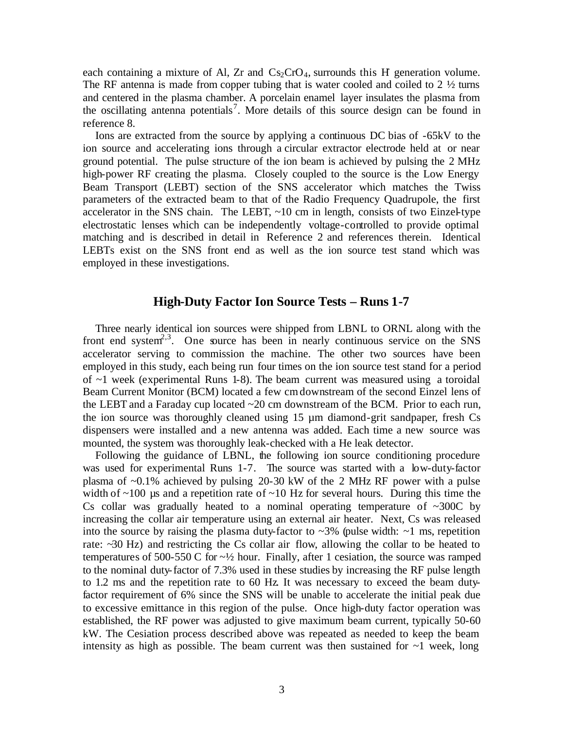each containing a mixture of Al, Zr and  $Cs<sub>2</sub>CrO<sub>4</sub>$ , surrounds this H generation volume. The RF antenna is made from copper tubing that is water cooled and coiled to  $2 \frac{1}{2}$  turns and centered in the plasma chamber. A porcelain enamel layer insulates the plasma from the oscillating antenna potentials<sup>7</sup>. More details of this source design can be found in reference 8.

Ions are extracted from the source by applying a continuous DC bias of -65kV to the ion source and accelerating ions through a circular extractor electrode held at or near ground potential. The pulse structure of the ion beam is achieved by pulsing the 2 MHz high-power RF creating the plasma. Closely coupled to the source is the Low Energy Beam Transport (LEBT) section of the SNS accelerator which matches the Twiss parameters of the extracted beam to that of the Radio Frequency Quadrupole, the first accelerator in the SNS chain. The LEBT, ~10 cm in length, consists of two Einzel-type electrostatic lenses which can be independently voltage-controlled to provide optimal matching and is described in detail in Reference 2 and references therein. Identical LEBTs exist on the SNS front end as well as the ion source test stand which was employed in these investigations.

#### **High-Duty Factor Ion Source Tests – Runs 1-7**

Three nearly identical ion sources were shipped from LBNL to ORNL along with the front end system<sup>2,3</sup>. One source has been in nearly continuous service on the SNS accelerator serving to commission the machine. The other two sources have been employed in this study, each being run four times on the ion source test stand for a period of  $\sim$ 1 week (experimental Runs 1-8). The beam current was measured using a toroidal Beam Current Monitor (BCM) located a few cm downstream of the second Einzel lens of the LEBT and a Faraday cup located ~20 cm downstream of the BCM. Prior to each run, the ion source was thoroughly cleaned using 15 µm diamond-grit sandpaper, fresh Cs dispensers were installed and a new antenna was added. Each time a new source was mounted, the system was thoroughly leak-checked with a He leak detector.

Following the guidance of LBNL, the following ion source conditioning procedure was used for experimental Runs 1-7. The source was started with a low-duty-factor plasma of ~0.1% achieved by pulsing 20-30 kW of the 2 MHz RF power with a pulse width of  $\sim$ 100 µs and a repetition rate of  $\sim$ 10 Hz for several hours. During this time the Cs collar was gradually heated to a nominal operating temperature of  $\sim 300C$  by increasing the collar air temperature using an external air heater. Next, Cs was released into the source by raising the plasma duty-factor to  $\sim 3\%$  (pulse width:  $\sim 1$  ms, repetition rate: ~30 Hz) and restricting the Cs collar air flow, allowing the collar to be heated to temperatures of 500-550 C for  $\sim$ 1/2 hour. Finally, after 1 cesiation, the source was ramped to the nominal duty-factor of 7.3% used in these studies by increasing the RF pulse length to 1.2 ms and the repetition rate to 60 Hz. It was necessary to exceed the beam dutyfactor requirement of 6% since the SNS will be unable to accelerate the initial peak due to excessive emittance in this region of the pulse. Once high-duty factor operation was established, the RF power was adjusted to give maximum beam current, typically 50-60 kW. The Cesiation process described above was repeated as needed to keep the beam intensity as high as possible. The beam current was then sustained for  $\sim$ 1 week, long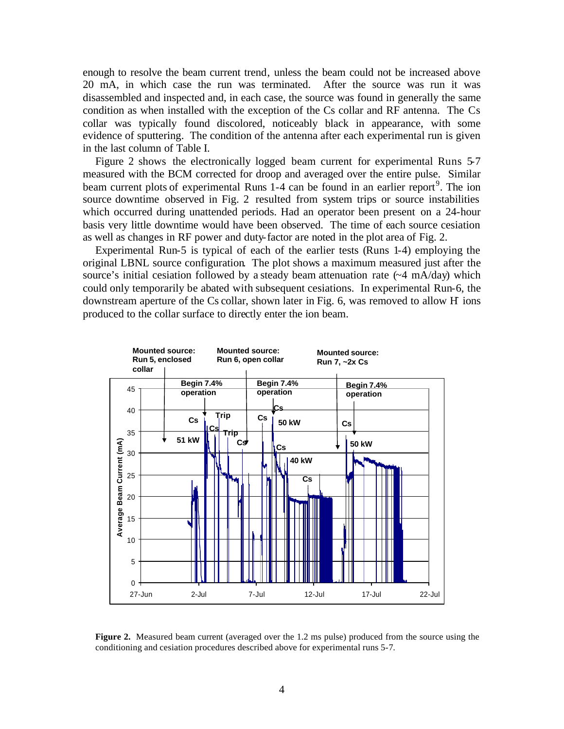enough to resolve the beam current trend, unless the beam could not be increased above 20 mA, in which case the run was terminated. After the source was run it was disassembled and inspected and, in each case, the source was found in generally the same condition as when installed with the exception of the Cs collar and RF antenna. The Cs collar was typically found discolored, noticeably black in appearance, with some evidence of sputtering. The condition of the antenna after each experimental run is given in the last column of Table I.

Figure 2 shows the electronically logged beam current for experimental Runs 5-7 measured with the BCM corrected for droop and averaged over the entire pulse. Similar beam current plots of experimental Runs  $1-4$  can be found in an earlier report<sup>9</sup>. The ion source downtime observed in Fig. 2 resulted from system trips or source instabilities which occurred during unattended periods. Had an operator been present on a 24-hour basis very little downtime would have been observed. The time of each source cesiation as well as changes in RF power and duty-factor are noted in the plot area of Fig. 2.

Experimental Run-5 is typical of each of the earlier tests (Runs 1-4) employing the original LBNL source configuration. The plot shows a maximum measured just after the source's initial cesiation followed by a steady beam attenuation rate (~4 mA/day) which could only temporarily be abated with subsequent cesiations. In experimental Run-6, the downstream aperture of the Cs collar, shown later in Fig. 6, was removed to allow H- ions produced to the collar surface to directly enter the ion beam.



**Figure 2.** Measured beam current (averaged over the 1.2 ms pulse) produced from the source using the conditioning and cesiation procedures described above for experimental runs 5-7.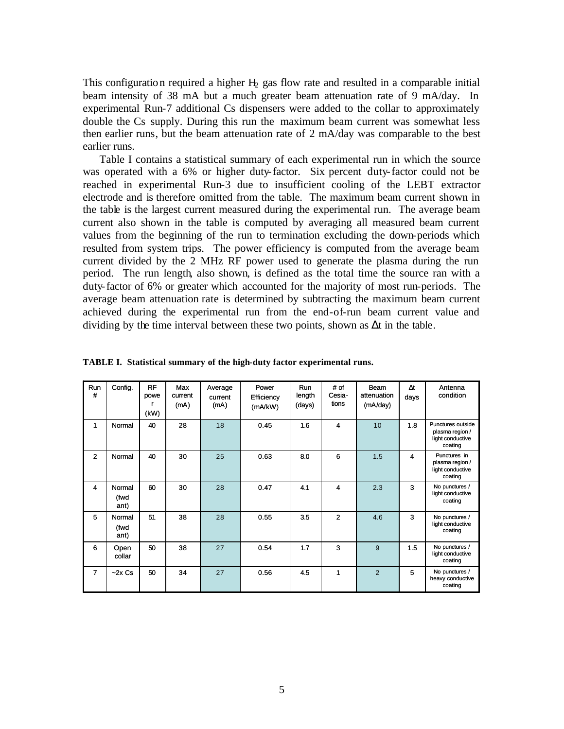This configuration required a higher  $H_2$  gas flow rate and resulted in a comparable initial beam intensity of 38 mA but a much greater beam attenuation rate of 9 mA/day. In experimental Run-7 additional Cs dispensers were added to the collar to approximately double the Cs supply. During this run the maximum beam current was somewhat less then earlier runs, but the beam attenuation rate of 2 mA/day was comparable to the best earlier runs.

Table I contains a statistical summary of each experimental run in which the source was operated with a 6% or higher duty-factor. Six percent duty-factor could not be reached in experimental Run-3 due to insufficient cooling of the LEBT extractor electrode and is therefore omitted from the table. The maximum beam current shown in the table is the largest current measured during the experimental run. The average beam current also shown in the table is computed by averaging all measured beam current values from the beginning of the run to termination excluding the down-periods which resulted from system trips. The power efficiency is computed from the average beam current divided by the 2 MHz RF power used to generate the plasma during the run period. The run length, also shown, is defined as the total time the source ran with a duty-factor of 6% or greater which accounted for the majority of most run-periods. The average beam attenuation rate is determined by subtracting the maximum beam current achieved during the experimental run from the end-of-run beam current value and dividing by the time interval between these two points, shown as  $\Delta t$  in the table.

| Run<br>#       | Config.                | <b>RF</b><br>powe<br>(kW) | Max<br>current<br>(mA) | Average<br>current<br>(mA) | Power<br>Efficiency<br>(mA/kW) | <b>Run</b><br>length<br>(days) | # of<br>Cesia-<br>tions | Beam<br>attenuation<br>(mA/day) | $\Delta t$<br>days | Antenna<br>condition                                                |
|----------------|------------------------|---------------------------|------------------------|----------------------------|--------------------------------|--------------------------------|-------------------------|---------------------------------|--------------------|---------------------------------------------------------------------|
| 1              | Normal                 | 40                        | 28                     | 18                         | 0.45                           | 1.6                            | $\overline{\mathbf{4}}$ | 10 <sup>1</sup>                 | 1.8                | Punctures outside<br>plasma region /<br>light conductive<br>coating |
| $\overline{2}$ | Normal                 | 40                        | 30                     | 25                         | 0.63                           | 8.0                            | 6                       | 1.5                             | 4                  | Punctures in<br>plasma region /<br>light conductive<br>coating      |
| 4              | Normal<br>(fwd<br>ant) | 60                        | 30                     | 28                         | 0.47                           | 4.1                            | 4                       | 2.3                             | 3                  | No punctures /<br>light conductive<br>coating                       |
| 5              | Normal<br>(fwd<br>ant) | 51                        | 38                     | 28                         | 0.55                           | 3.5                            | $\overline{2}$          | 4.6                             | 3                  | No punctures /<br>light conductive<br>coating                       |
| 6              | Open<br>collar         | 50                        | 38                     | 27                         | 0.54                           | 1.7                            | 3                       | 9                               | 1.5                | No punctures /<br>light conductive<br>coating                       |
| $\overline{7}$ | $-2x$ Cs               | 50                        | 34                     | 27                         | 0.56                           | 4.5                            | 1                       | 2                               | 5                  | No punctures /<br>heavy conductive<br>coating                       |

**TABLE I. Statistical summary of the high-duty factor experimental runs.**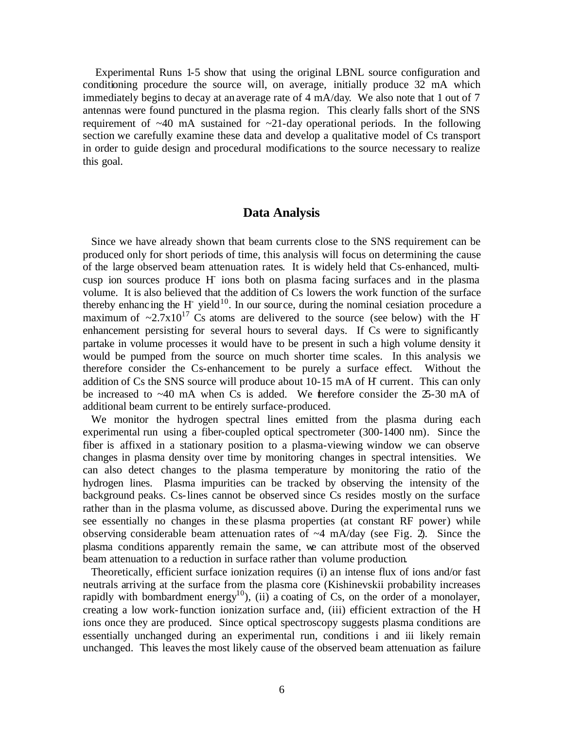Experimental Runs 1-5 show that using the original LBNL source configuration and conditioning procedure the source will, on average, initially produce 32 mA which immediately begins to decay at an average rate of 4 mA/day. We also note that 1 out of 7 antennas were found punctured in the plasma region. This clearly falls short of the SNS requirement of  $\sim 40$  mA sustained for  $\sim 21$ -day operational periods. In the following section we carefully examine these data and develop a qualitative model of Cs transport in order to guide design and procedural modifications to the source necessary to realize this goal.

#### **Data Analysis**

Since we have already shown that beam currents close to the SNS requirement can be produced only for short periods of time, this analysis will focus on determining the cause of the large observed beam attenuation rates. It is widely held that Cs-enhanced, multicusp ion sources produce H- ions both on plasma facing surfaces and in the plasma volume. It is also believed that the addition of Cs lowers the work function of the surface thereby enhancing the H<sup>-</sup> yield<sup>10</sup>. In our source, during the nominal cesiation procedure a maximum of  $\approx 2.7x10^{17}$  Cs atoms are delivered to the source (see below) with the H enhancement persisting for several hours to several days. If Cs were to significantly partake in volume processes it would have to be present in such a high volume density it would be pumped from the source on much shorter time scales. In this analysis we therefore consider the Cs-enhancement to be purely a surface effect. Without the addition of Cs the SNS source will produce about 10-15 mA of H current. This can only be increased to ~40 mA when Cs is added. We therefore consider the  $25-30$  mA of additional beam current to be entirely surface-produced.

We monitor the hydrogen spectral lines emitted from the plasma during each experimental run using a fiber-coupled optical spectrometer (300-1400 nm). Since the fiber is affixed in a stationary position to a plasma-viewing window we can observe changes in plasma density over time by monitoring changes in spectral intensities. We can also detect changes to the plasma temperature by monitoring the ratio of the hydrogen lines. Plasma impurities can be tracked by observing the intensity of the background peaks. Cs-lines cannot be observed since Cs resides mostly on the surface rather than in the plasma volume, as discussed above. During the experimental runs we see essentially no changes in these plasma properties (at constant RF power) while observing considerable beam attenuation rates of ~4 mA/day (see Fig. 2). Since the plasma conditions apparently remain the same, we can attribute most of the observed beam attenuation to a reduction in surface rather than volume production.

Theoretically, efficient surface ionization requires (i) an intense flux of ions and/or fast neutrals arriving at the surface from the plasma core (Kishinevskii probability increases rapidly with bombardment energy<sup>10</sup>), (ii) a coating of Cs, on the order of a monolayer, creating a low work-function ionization surface and, (iii) efficient extraction of the Hions once they are produced. Since optical spectroscopy suggests plasma conditions are essentially unchanged during an experimental run, conditions i and iii likely remain unchanged. This leaves the most likely cause of the observed beam attenuation as failure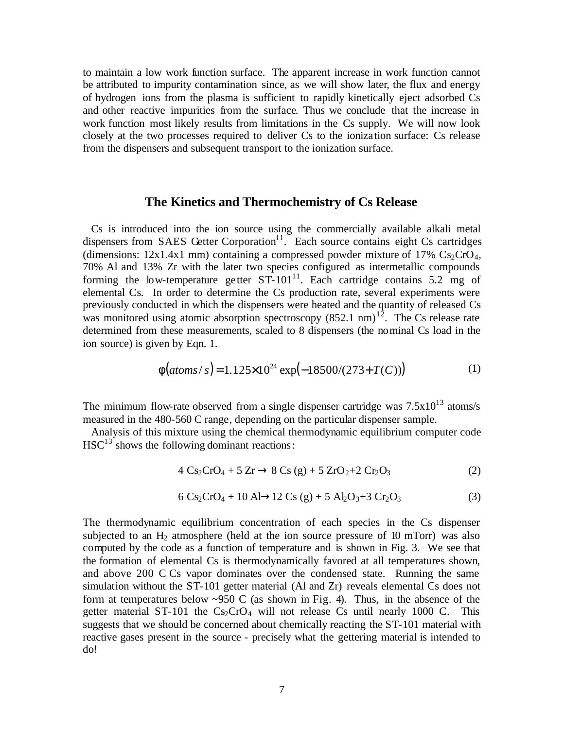to maintain a low work function surface. The apparent increase in work function cannot be attributed to impurity contamination since, as we will show later, the flux and energy of hydrogen ions from the plasma is sufficient to rapidly kinetically eject adsorbed Cs and other reactive impurities from the surface. Thus we conclude that the increase in work function most likely results from limitations in the Cs supply. We will now look closely at the two processes required to deliver Cs to the ioniza tion surface: Cs release from the dispensers and subsequent transport to the ionization surface.

#### **The Kinetics and Thermochemistry of Cs Release**

Cs is introduced into the ion source using the commercially available alkali metal dispensers from SAES Getter Corporation<sup>11</sup>. Each source contains eight Cs cartridges (dimensions:  $12x1.4x1$  mm) containing a compressed powder mixture of  $17\%$  Cs<sub>2</sub>CrO<sub>4</sub>, 70% Al and 13% Zr with the later two species configured as intermetallic compounds forming the low-temperature getter  $ST-101^{11}$ . Each cartridge contains 5.2 mg of elemental Cs. In order to determine the Cs production rate, several experiments were previously conducted in which the dispensers were heated and the quantity of released Cs was monitored using atomic absorption spectroscopy  $(852.1 \text{ nm})^{12}$ . The Cs release rate determined from these measurements, scaled to 8 dispensers (the nominal Cs load in the ion source) is given by Eqn. 1.

$$
f(atoms / s) = 1.125 \times 10^{24} \exp(-18500/(273+T(C)))
$$
 (1)

The minimum flow-rate observed from a single dispenser cartridge was  $7.5 \times 10^{13}$  atoms/s measured in the 480-560 C range, depending on the particular dispenser sample.

Analysis of this mixture using the chemical thermodynamic equilibrium computer code  $HSC^{13}$  shows the following dominant reactions:

$$
4 CS2CrO4 + 5 Zr \rightarrow 8 Cs (g) + 5 ZrO2+2 Cr2O3
$$
 (2)

$$
6 Cs2CrO4 + 10 Al $\rightarrow$  12 Cs (g) + 5 Al<sub>2</sub>O<sub>3</sub>+3 Cr<sub>2</sub>O<sub>3</sub> (3)
$$

The thermodynamic equilibrium concentration of each species in the Cs dispenser subjected to an  $H_2$  atmosphere (held at the ion source pressure of 10 mTorr) was also computed by the code as a function of temperature and is shown in Fig. 3. We see that the formation of elemental Cs is thermodynamically favored at all temperatures shown, and above 200 C Cs vapor dominates over the condensed state. Running the same simulation without the ST-101 getter material (Al and Zr) reveals elemental Cs does not form at temperatures below  $\sim$ 950 C (as shown in Fig. 4). Thus, in the absence of the getter material ST-101 the  $Cs_2CrO_4$  will not release Cs until nearly 1000 C. This suggests that we should be concerned about chemically reacting the ST-101 material with reactive gases present in the source - precisely what the gettering material is intended to do!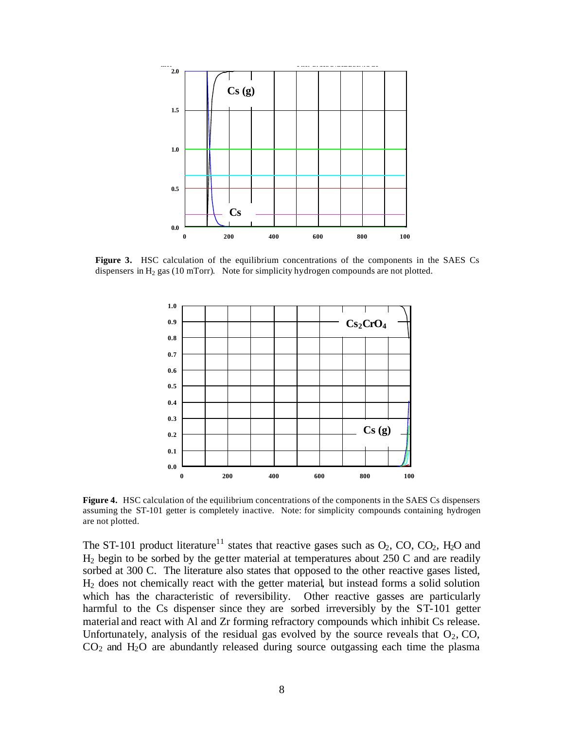

**Figure 3.** HSC calculation of the equilibrium concentrations of the components in the SAES Cs dispensers in  $H_2$  gas (10 mTorr). Note for simplicity hydrogen compounds are not plotted.



**Figure 4.** HSC calculation of the equilibrium concentrations of the components in the SAES Cs dispensers assuming the ST-101 getter is completely inactive. Note: for simplicity compounds containing hydrogen are not plotted.

The ST-101 product literature<sup>11</sup> states that reactive gases such as  $O_2$ , CO, CO<sub>2</sub>, H<sub>2</sub>O and  $H<sub>2</sub>$  begin to be sorbed by the getter material at temperatures about 250 C and are readily sorbed at 300 C. The literature also states that opposed to the other reactive gases listed, H2 does not chemically react with the getter material, but instead forms a solid solution which has the characteristic of reversibility. Other reactive gasses are particularly harmful to the Cs dispenser since they are sorbed irreversibly by the ST-101 getter material and react with Al and Zr forming refractory compounds which inhibit Cs release. Unfortunately, analysis of the residual gas evolved by the source reveals that  $O_2$ , CO,  $CO<sub>2</sub>$  and  $H<sub>2</sub>O$  are abundantly released during source outgassing each time the plasma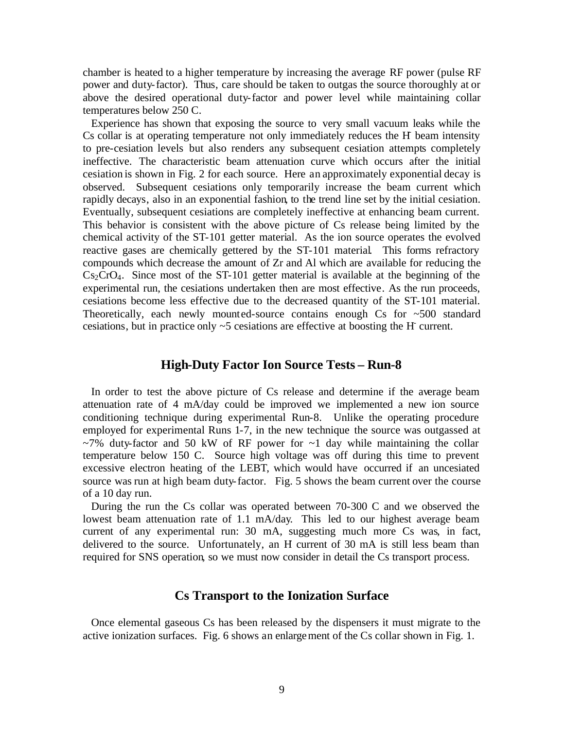chamber is heated to a higher temperature by increasing the average RF power (pulse RF power and duty-factor). Thus, care should be taken to outgas the source thoroughly at or above the desired operational duty-factor and power level while maintaining collar temperatures below 250 C.

Experience has shown that exposing the source to very small vacuum leaks while the Cs collar is at operating temperature not only immediately reduces the H- beam intensity to pre-cesiation levels but also renders any subsequent cesiation attempts completely ineffective. The characteristic beam attenuation curve which occurs after the initial cesiation is shown in Fig. 2 for each source. Here an approximately exponential decay is observed. Subsequent cesiations only temporarily increase the beam current which rapidly decays, also in an exponential fashion, to the trend line set by the initial cesiation. Eventually, subsequent cesiations are completely ineffective at enhancing beam current. This behavior is consistent with the above picture of Cs release being limited by the chemical activity of the ST-101 getter material. As the ion source operates the evolved reactive gases are chemically gettered by the ST-101 material. This forms refractory compounds which decrease the amount of Zr and Al which are available for reducing the  $Cs<sub>2</sub>CrO<sub>4</sub>$ . Since most of the ST-101 getter material is available at the beginning of the experimental run, the cesiations undertaken then are most effective. As the run proceeds, cesiations become less effective due to the decreased quantity of the ST-101 material. Theoretically, each newly mounted-source contains enough  $Cs$  for  $~500$  standard cesiations, but in practice only  $\sim$  5 cesiations are effective at boosting the H current.

#### **High-Duty Factor Ion Source Tests – Run-8**

In order to test the above picture of Cs release and determine if the average beam attenuation rate of 4 mA/day could be improved we implemented a new ion source conditioning technique during experimental Run-8. Unlike the operating procedure employed for experimental Runs 1-7, in the new technique the source was outgassed at  $\sim$ 7% duty-factor and 50 kW of RF power for  $\sim$ 1 day while maintaining the collar temperature below 150 C. Source high voltage was off during this time to prevent excessive electron heating of the LEBT, which would have occurred if an uncesiated source was run at high beam duty-factor. Fig. 5 shows the beam current over the course of a 10 day run.

During the run the Cs collar was operated between 70-300 C and we observed the lowest beam attenuation rate of 1.1 mA/day. This led to our highest average beam current of any experimental run: 30 mA, suggesting much more Cs was, in fact, delivered to the source. Unfortunately, an H current of 30 mA is still less beam than required for SNS operation, so we must now consider in detail the Cs transport process.

#### **Cs Transport to the Ionization Surface**

Once elemental gaseous Cs has been released by the dispensers it must migrate to the active ionization surfaces. Fig. 6 shows an enlargement of the Cs collar shown in Fig. 1.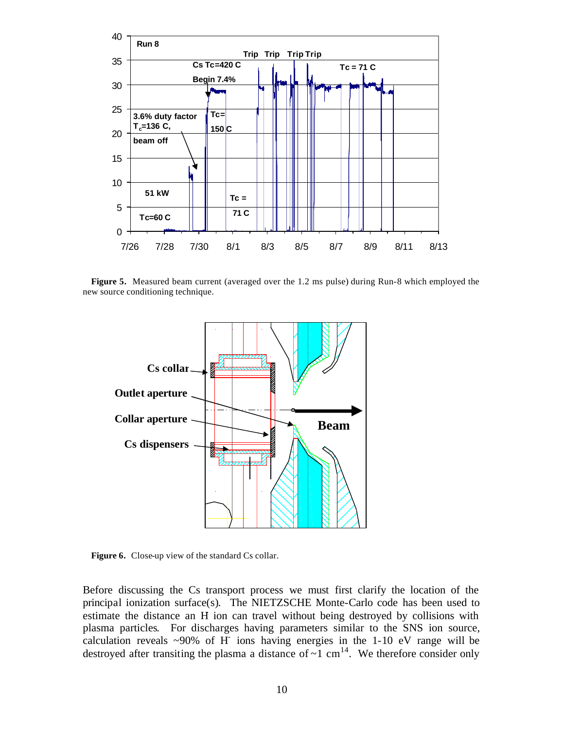

**Figure 5.** Measured beam current (averaged over the 1.2 ms pulse) during Run-8 which employed the new source conditioning technique.



Figure 6. Close-up view of the standard Cs collar.

Before discussing the Cs transport process we must first clarify the location of the principal ionization surface(s). The NIETZSCHE Monte-Carlo code has been used to estimate the distance an H ion can travel without being destroyed by collisions with plasma particles. For discharges having parameters similar to the SNS ion source, calculation reveals  $\sim 90\%$  of H ions having energies in the 1-10 eV range will be destroyed after transiting the plasma a distance of  $\sim$ 1 cm<sup>14</sup>. We therefore consider only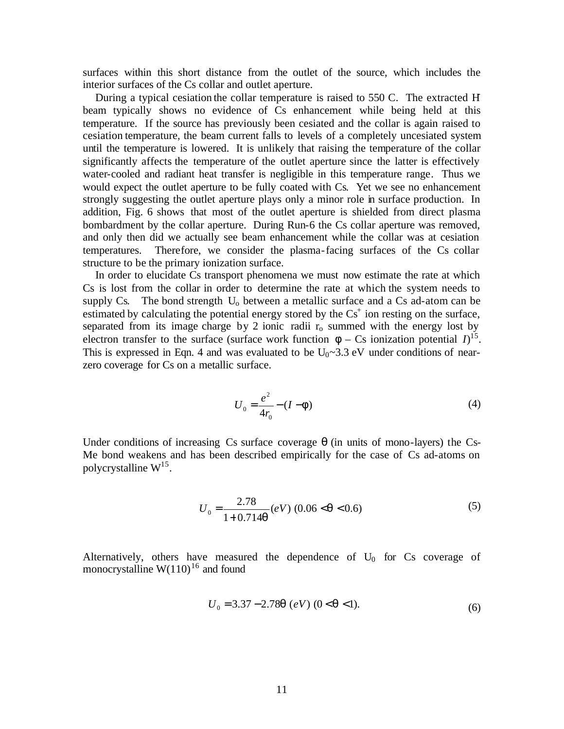surfaces within this short distance from the outlet of the source, which includes the interior surfaces of the Cs collar and outlet aperture.

During a typical cesiation the collar temperature is raised to 550 C. The extracted Hbeam typically shows no evidence of Cs enhancement while being held at this temperature. If the source has previously been cesiated and the collar is again raised to cesiation temperature, the beam current falls to levels of a completely uncesiated system until the temperature is lowered. It is unlikely that raising the temperature of the collar significantly affects the temperature of the outlet aperture since the latter is effectively water-cooled and radiant heat transfer is negligible in this temperature range. Thus we would expect the outlet aperture to be fully coated with Cs. Yet we see no enhancement strongly suggesting the outlet aperture plays only a minor role in surface production. In addition, Fig. 6 shows that most of the outlet aperture is shielded from direct plasma bombardment by the collar aperture. During Run-6 the Cs collar aperture was removed, and only then did we actually see beam enhancement while the collar was at cesiation temperatures. Therefore, we consider the plasma-facing surfaces of the Cs collar structure to be the primary ionization surface.

In order to elucidate Cs transport phenomena we must now estimate the rate at which Cs is lost from the collar in order to determine the rate at which the system needs to supply Cs. The bond strength  $U_0$  between a metallic surface and a Cs ad-atom can be estimated by calculating the potential energy stored by the  $Cs<sup>+</sup>$  ion resting on the surface, separated from its image charge by 2 ionic radii  $r_0$  summed with the energy lost by electron transfer to the surface (surface work function  $\phi$  – Cs ionization potential *I*)<sup>15</sup>. This is expressed in Eqn. 4 and was evaluated to be  $U_0 \sim 3.3$  eV under conditions of nearzero coverage for Cs on a metallic surface.

$$
U_0 = \frac{e^2}{4r_0} - (I - f)
$$
 (4)

Under conditions of increasing Cs surface coverage  $\theta$  (in units of mono-layers) the Cs-Me bond weakens and has been described empirically for the case of Cs ad-atoms on polycrystalline  $W^{15}$ .

$$
U_0 = \frac{2.78}{1 + 0.714\mathbf{q}} (eV) (0.06 < \mathbf{q} < 0.6)
$$
 (5)

Alternatively, others have measured the dependence of  $U_0$  for Cs coverage of monocrystalline  $W(110)^{16}$  and found

$$
U_0 = 3.37 - 2.78q \ (eV) \ (0 < q < 1).
$$
 (6)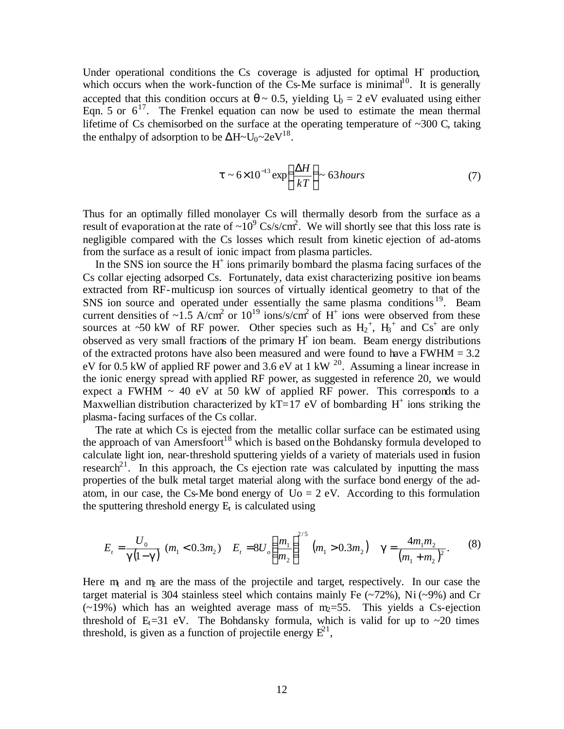Under operational conditions the Cs coverage is adjusted for optimal H production, which occurs when the work-function of the Cs-Me surface is minimal<sup>10</sup>. It is generally accepted that this condition occurs at  $\theta \sim 0.5$ , yielding  $U_0 = 2$  eV evaluated using either Eqn. 5 or  $6^{17}$ . The Frenkel equation can now be used to estimate the mean thermal lifetime of Cs chemisorbed on the surface at the operating temperature of  $\sim$ 300 C, taking the enthalpy of adsorption to be  $\Delta H \sim U_0 \sim 2eV^{18}$ .

$$
t \sim 6 \times 10^{-13} \exp\left(\frac{\Delta H}{kT}\right) \sim 63 \text{hours} \tag{7}
$$

Thus for an optimally filled monolayer Cs will thermally desorb from the surface as a result of evaporation at the rate of  $\sim 10^9 \text{ Cs/s/cm}^2$ . We will shortly see that this loss rate is negligible compared with the Cs losses which result from kinetic ejection of ad-atoms from the surface as a result of ionic impact from plasma particles.

In the SNS ion source the  $H^+$  ions primarily bombard the plasma facing surfaces of the Cs collar ejecting adsorped Cs. Fortunately, data exist characterizing positive ion beams extracted from RF-multicusp ion sources of virtually identical geometry to that of the SNS ion source and operated under essentially the same plasma conditions<sup>19</sup>. Beam current densities of  $\sim 1.5$  A/cm<sup>2</sup> or  $10^{19}$  ions/s/cm<sup>2</sup> of H<sup>+</sup> ions were observed from these sources at ~50 kW of RF power. Other species such as  $H_2^+$ ,  $H_3^+$  and  $Cs^+$  are only observed as very small fractions of the primary  $H^+$  ion beam. Beam energy distributions of the extracted protons have also been measured and were found to have a  $FWHM = 3.2$ eV for 0.5 kW of applied RF power and 3.6 eV at 1 kW  $^{20}$ . Assuming a linear increase in the ionic energy spread with applied RF power, as suggested in reference 20, we would expect a FWHM  $\sim$  40 eV at 50 kW of applied RF power. This corresponds to a Maxwellian distribution characterized by  $kT=17$  eV of bombarding  $H^+$  ions striking the plasma-facing surfaces of the Cs collar.

The rate at which Cs is ejected from the metallic collar surface can be estimated using the approach of van Amersfoort<sup>18</sup> which is based on the Bohdansky formula developed to calculate light ion, near-threshold sputtering yields of a variety of materials used in fusion research<sup>21</sup>. In this approach, the Cs ejection rate was calculated by inputting the mass properties of the bulk metal target material along with the surface bond energy of the adatom, in our case, the Cs-Me bond energy of  $U_0 = 2$  eV. According to this formulation the sputtering threshold energy  $E_t$  is calculated using

$$
E_{t} = \frac{U_{0}}{g(1-g)} (m_{1} < 0.3m_{2}) \quad E_{t} = 8U_{0} \left(\frac{m_{1}}{m_{2}}\right)^{2/5} (m_{1} > 0.3m_{2}) \quad g = \frac{4m_{1}m_{2}}{(m_{1} + m_{2})^{2}}.
$$
 (8)

Here m<sub>1</sub> and m<sub>2</sub> are the mass of the projectile and target, respectively. In our case the target material is 304 stainless steel which contains mainly Fe  $(\sim 72\%)$ , Ni  $(\sim 9\%)$  and Cr  $(\sim 19\%)$  which has an weighted average mass of m<sub>2</sub>=55. This yields a Cs-ejection threshold of  $E_t = 31$  eV. The Bohdansky formula, which is valid for up to  $\sim 20$  times threshold, is given as a function of projectile energy  $E^{21}$ ,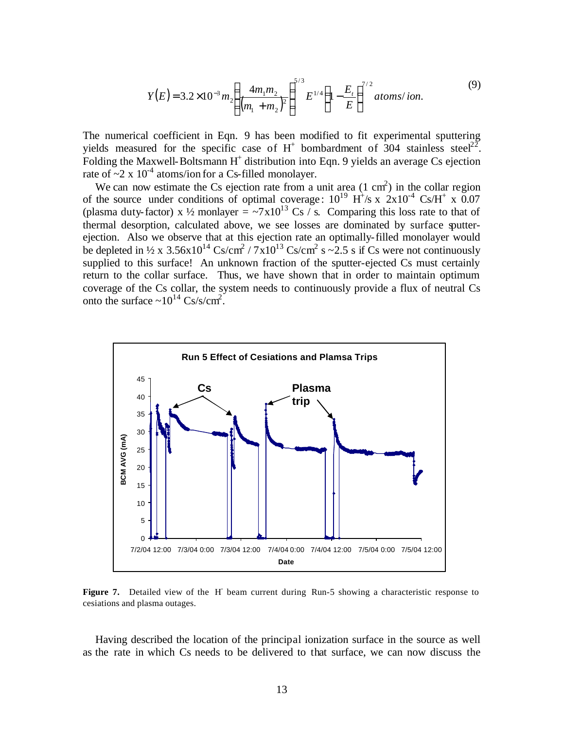$$
Y(E) = 3.2 \times 10^{-3} m_2 \left( \frac{4m_1m_2}{(m_1 + m_2)^2} \right)^{5/3} E^{1/4} \left( 1 - \frac{E_t}{E} \right)^{7/2} atoms/ion.
$$
 (9)

The numerical coefficient in Eqn. 9 has been modified to fit experimental sputtering yields measured for the specific case of  $H^+$  bombardment of 304 stainless steel<sup>22</sup>. Folding the Maxwell-Boltsmann H<sup>+</sup> distribution into Eqn. 9 yields an average Cs ejection rate of  $\sim$ 2 x 10<sup>-4</sup> atoms/ion for a Cs-filled monolayer.

We can now estimate the Cs ejection rate from a unit area  $(1 \text{ cm}^2)$  in the collar region of the source under conditions of optimal coverage:  $10^{19}$  H<sup>+</sup>/s x  $2x10^{-4}$  Cs/H<sup>+</sup> x 0.07 (plasma duty-factor) x  $\frac{1}{2}$  monlayer = ~7x10<sup>13</sup> Cs /s. Comparing this loss rate to that of thermal desorption, calculated above, we see losses are dominated by surface sputterejection. Also we observe that at this ejection rate an optimally-filled monolayer would be depleted in  $\frac{1}{2}$  x 3.56x10<sup>14</sup> Cs/cm<sup>2</sup> / 7x10<sup>13</sup> Cs/cm<sup>2</sup> s ~2.5 s if Cs were not continuously supplied to this surface! An unknown fraction of the sputter-ejected Cs must certainly return to the collar surface. Thus, we have shown that in order to maintain optimum coverage of the Cs collar, the system needs to continuously provide a flux of neutral Cs onto the surface  $\sim 10^{14} \text{ Cs/s/cm}^2$ .



Figure 7. Detailed view of the H beam current during Run-5 showing a characteristic response to cesiations and plasma outages.

Having described the location of the principal ionization surface in the source as well as the rate in which Cs needs to be delivered to that surface, we can now discuss the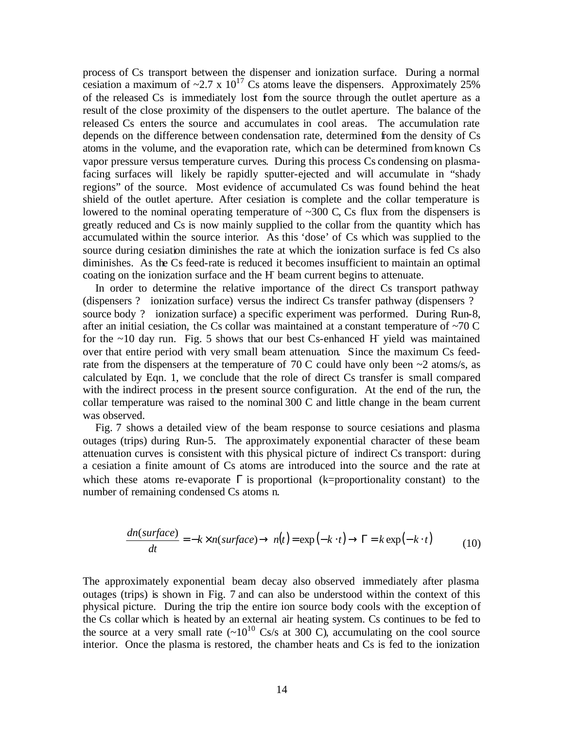process of Cs transport between the dispenser and ionization surface. During a normal cesiation a maximum of  $\sim 2.7 \times 10^{17}$  Cs atoms leave the dispensers. Approximately 25% of the released Cs is immediately lost from the source through the outlet aperture as a result of the close proximity of the dispensers to the outlet aperture. The balance of the released Cs enters the source and accumulates in cool areas. The accumulation rate depends on the difference between condensation rate, determined from the density of Cs atoms in the volume, and the evaporation rate, which can be determined from known Cs vapor pressure versus temperature curves. During this process Cs condensing on plasmafacing surfaces will likely be rapidly sputter-ejected and will accumulate in "shady regions" of the source. Most evidence of accumulated Cs was found behind the heat shield of the outlet aperture. After cesiation is complete and the collar temperature is lowered to the nominal operating temperature of ~300 C, Cs flux from the dispensers is greatly reduced and Cs is now mainly supplied to the collar from the quantity which has accumulated within the source interior. As this 'dose' of Cs which was supplied to the source during cesiation diminishes the rate at which the ionization surface is fed Cs also diminishes. As the Cs feed-rate is reduced it becomes insufficient to maintain an optimal coating on the ionization surface and the H beam current begins to attenuate.

In order to determine the relative importance of the direct Cs transport pathway (dispensers ? ionization surface) versus the indirect Cs transfer pathway (dispensers ? source body ? ionization surface) a specific experiment was performed. During Run-8, after an initial cesiation, the Cs collar was maintained at a constant temperature of  $\sim$ 70 C for the  $\sim$ 10 day run. Fig. 5 shows that our best Cs-enhanced H yield was maintained over that entire period with very small beam attenuation. Since the maximum Cs feedrate from the dispensers at the temperature of 70 C could have only been  $\sim$ 2 atoms/s, as calculated by Eqn. 1, we conclude that the role of direct Cs transfer is small compared with the indirect process in the present source configuration. At the end of the run, the collar temperature was raised to the nominal 300 C and little change in the beam current was observed.

Fig. 7 shows a detailed view of the beam response to source cesiations and plasma outages (trips) during Run-5. The approximately exponential character of these beam attenuation curves is consistent with this physical picture of indirect Cs transport: during a cesiation a finite amount of Cs atoms are introduced into the source and the rate at which these atoms re-evaporate  $\Gamma$  is proportional (k=proportionality constant) to the number of remaining condensed Cs atoms n.

$$
\frac{dn(surface)}{dt} = -k \times n(surface) \to n(t) = \exp(-k \cdot t) \to \Gamma = k \exp(-k \cdot t)
$$
(10)

The approximately exponential beam decay also observed immediately after plasma outages (trips) is shown in Fig. 7 and can also be understood within the context of this physical picture. During the trip the entire ion source body cools with the exception of the Cs collar which is heated by an external air heating system. Cs continues to be fed to the source at a very small rate  $({\sim}10^{10} \text{ Cs/s at } 300 \text{ C})$ , accumulating on the cool source interior. Once the plasma is restored, the chamber heats and Cs is fed to the ionization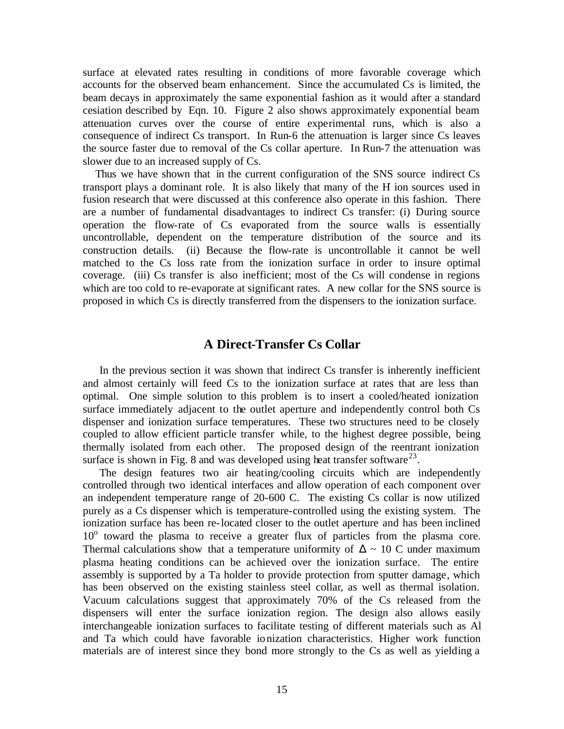surface at elevated rates resulting in conditions of more favorable coverage which accounts for the observed beam enhancement. Since the accumulated Cs is limited, the beam decays in approximately the same exponential fashion as it would after a standard cesiation described by Eqn. 10. Figure 2 also shows approximately exponential beam attenuation curves over the course of entire experimental runs, which is also a consequence of indirect Cs transport. In Run-6 the attenuation is larger since Cs leaves the source faster due to removal of the Cs collar aperture. In Run-7 the attenuation was slower due to an increased supply of Cs.

Thus we have shown that in the current configuration of the SNS source indirect Cs transport plays a dominant role. It is also likely that many of the H- ion sources used in fusion research that were discussed at this conference also operate in this fashion. There are a number of fundamental disadvantages to indirect Cs transfer: (i) During source operation the flow-rate of Cs evaporated from the source walls is essentially uncontrollable, dependent on the temperature distribution of the source and its construction details. (ii) Because the flow-rate is uncontrollable it cannot be well matched to the Cs loss rate from the ionization surface in order to insure optimal coverage. (iii) Cs transfer is also inefficient; most of the Cs will condense in regions which are too cold to re-evaporate at significant rates. A new collar for the SNS source is proposed in which Cs is directly transferred from the dispensers to the ionization surface.

### **A Direct-Transfer Cs Collar**

In the previous section it was shown that indirect Cs transfer is inherently inefficient and almost certainly will feed Cs to the ionization surface at rates that are less than optimal. One simple solution to this problem is to insert a cooled/heated ionization surface immediately adjacent to the outlet aperture and independently control both Cs dispenser and ionization surface temperatures. These two structures need to be closely coupled to allow efficient particle transfer while, to the highest degree possible, being thermally isolated from each other. The proposed design of the reentrant ionization surface is shown in Fig. 8 and was developed using heat transfer software<sup>23</sup>.

The design features two air heating/cooling circuits which are independently controlled through two identical interfaces and allow operation of each component over an independent temperature range of 20-600 C. The existing Cs collar is now utilized purely as a Cs dispenser which is temperature-controlled using the existing system. The ionization surface has been re-located closer to the outlet aperture and has been inclined 10<sup>o</sup> toward the plasma to receive a greater flux of particles from the plasma core. Thermal calculations show that a temperature uniformity of  $\Delta \sim 10$  C under maximum plasma heating conditions can be achieved over the ionization surface. The entire assembly is supported by a Ta holder to provide protection from sputter damage, which has been observed on the existing stainless steel collar, as well as thermal isolation. Vacuum calculations suggest that approximately 70% of the Cs released from the dispensers will enter the surface ionization region. The design also allows easily interchangeable ionization surfaces to facilitate testing of different materials such as Al and Ta which could have favorable ionization characteristics. Higher work function materials are of interest since they bond more strongly to the Cs as well as yielding a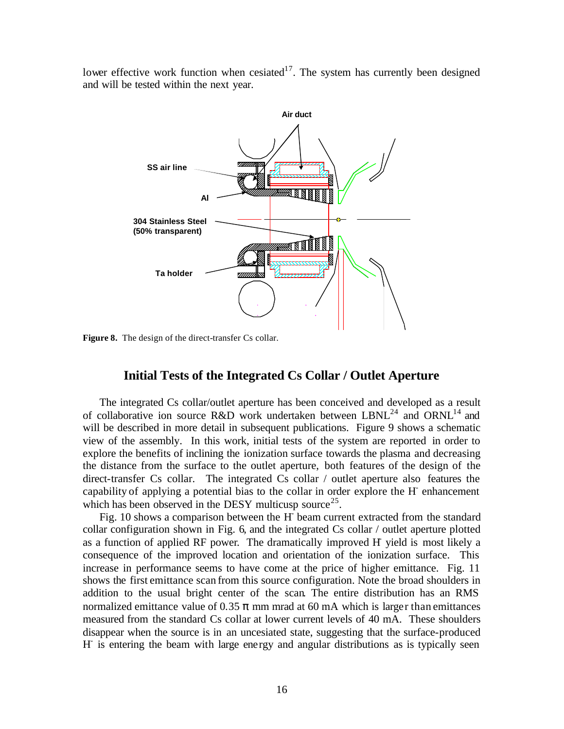lower effective work function when cesiated $1^7$ . The system has currently been designed and will be tested within the next year.



Figure 8. The design of the direct-transfer Cs collar.

## **Initial Tests of the Integrated Cs Collar / Outlet Aperture**

The integrated Cs collar/outlet aperture has been conceived and developed as a result of collaborative ion source R&D work undertaken between LBNL<sup>24</sup> and ORNL<sup>14</sup> and will be described in more detail in subsequent publications. Figure 9 shows a schematic view of the assembly. In this work, initial tests of the system are reported in order to explore the benefits of inclining the ionization surface towards the plasma and decreasing the distance from the surface to the outlet aperture, both features of the design of the direct-transfer Cs collar. The integrated Cs collar / outlet aperture also features the capability of applying a potential bias to the collar in order explore the  $H$  enhancement which has been observed in the DESY multicusp source<sup>25</sup>.

Fig. 10 shows a comparison between the H beam current extracted from the standard collar configuration shown in Fig. 6, and the integrated Cs collar / outlet aperture plotted as a function of applied RF power. The dramatically improved H yield is most likely a consequence of the improved location and orientation of the ionization surface. This increase in performance seems to have come at the price of higher emittance. Fig. 11 shows the first emittance scan from this source configuration. Note the broad shoulders in addition to the usual bright center of the scan. The entire distribution has an RMS normalized emittance value of 0.35  $\pi$  mm mrad at 60 mA which is larger than emittances measured from the standard Cs collar at lower current levels of 40 mA. These shoulders disappear when the source is in an uncesiated state, suggesting that the surface-produced H is entering the beam with large energy and angular distributions as is typically seen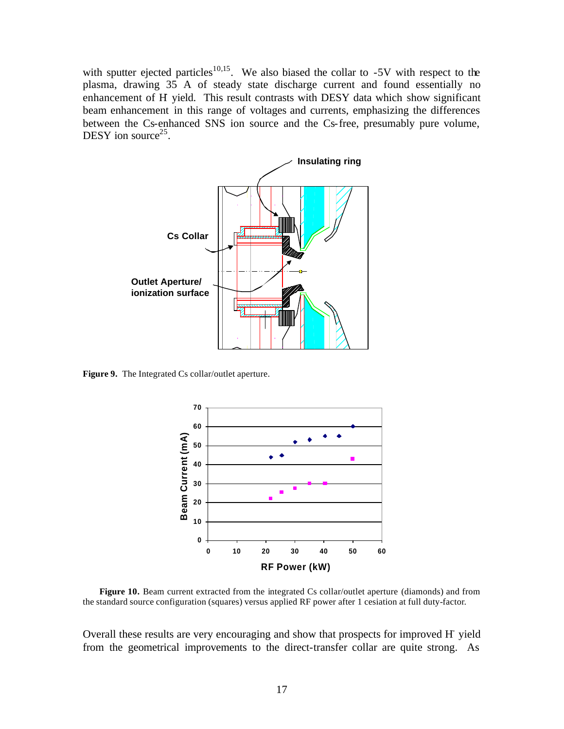with sputter ejected particles<sup>10,15</sup>. We also biased the collar to  $-5V$  with respect to the plasma, drawing 35 A of steady state discharge current and found essentially no enhancement of H-yield. This result contrasts with DESY data which show significant beam enhancement in this range of voltages and currents, emphasizing the differences between the Cs-enhanced SNS ion source and the Cs-free, presumably pure volume, DESY ion source<sup>25</sup>.



**Figure 9.** The Integrated Cs collar/outlet aperture.



Figure 10. Beam current extracted from the integrated Cs collar/outlet aperture (diamonds) and from the standard source configuration (squares) versus applied RF power after 1 cesiation at full duty-factor.

Overall these results are very encouraging and show that prospects for improved H yield from the geometrical improvements to the direct-transfer collar are quite strong. As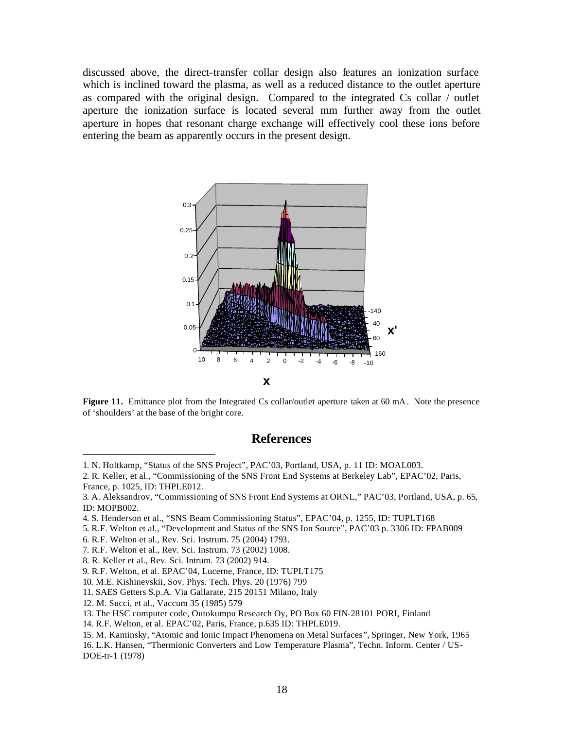discussed above, the direct-transfer collar design also features an ionization surface which is inclined toward the plasma, as well as a reduced distance to the outlet aperture as compared with the original design. Compared to the integrated Cs collar / outlet aperture the ionization surface is located several mm further away from the outlet aperture in hopes that resonant charge exchange will effectively cool these ions before entering the beam as apparently occurs in the present design.



**Figure 11.** Emittance plot from the Integrated Cs collar/outlet aperture taken at 60 mA. Note the presence of 'shoulders' at the base of the bright core.

## **References**

8. R. Keller et al., Rev. Sci. Intrum. 73 (2002) 914.

 $\overline{a}$ 

<sup>1.</sup> N. Holtkamp, "Status of the SNS Project", PAC'03, Portland, USA, p. 11 ID: MOAL003.

<sup>2.</sup> R. Keller, et al., "Commissioning of the SNS Front End Systems at Berkeley Lab", EPAC'02, Paris, France, p. 1025, ID: THPLE012.

<sup>3.</sup> A. Aleksandrov, "Commissioning of SNS Front End Systems at ORNL," PAC'03, Portland, USA, p. 65, ID: MOPB002.

<sup>4.</sup> S. Henderson et al., "SNS Beam Commissioning Status", EPAC'04, p. 1255, ID: TUPLT168

<sup>5.</sup> R.F. Welton et al., "Development and Status of the SNS Ion Source", PAC'03 p. 3306 ID: FPAB009

<sup>6.</sup> R.F. Welton et al., Rev. Sci. Instrum. 75 (2004) 1793.

<sup>7.</sup> R.F. Welton et al., Rev. Sci. Instrum. 73 (2002) 1008.

<sup>9.</sup> R.F. Welton, et al. EPAC'04, Lucerne, France, ID: TUPLT175

<sup>10.</sup> M.E. Kishinevskii, Sov. Phys. Tech. Phys. 20 (1976) 799

<sup>11.</sup> SAES Getters S.p.A. Via Gallarate, 215 20151 Milano, Italy

<sup>12.</sup> M. Succi, et al., Vaccum 35 (1985) 579

<sup>13.</sup> The HSC computer code, Outokumpu Research Oy, PO Box 60 FIN-28101 PORI, Finland

<sup>14.</sup> R.F. Welton, et al. EPAC'02, Paris, France, p.635 ID: THPLE019.

<sup>15.</sup> M. Kaminsky, "Atomic and Ionic Impact Phenomena on Metal Surfaces", Springer, New York, 1965

<sup>16.</sup> L.K. Hansen, "Thermionic Converters and Low Temperature Plasma", Techn. Inform. Center / US-DOE-tr-1 (1978)